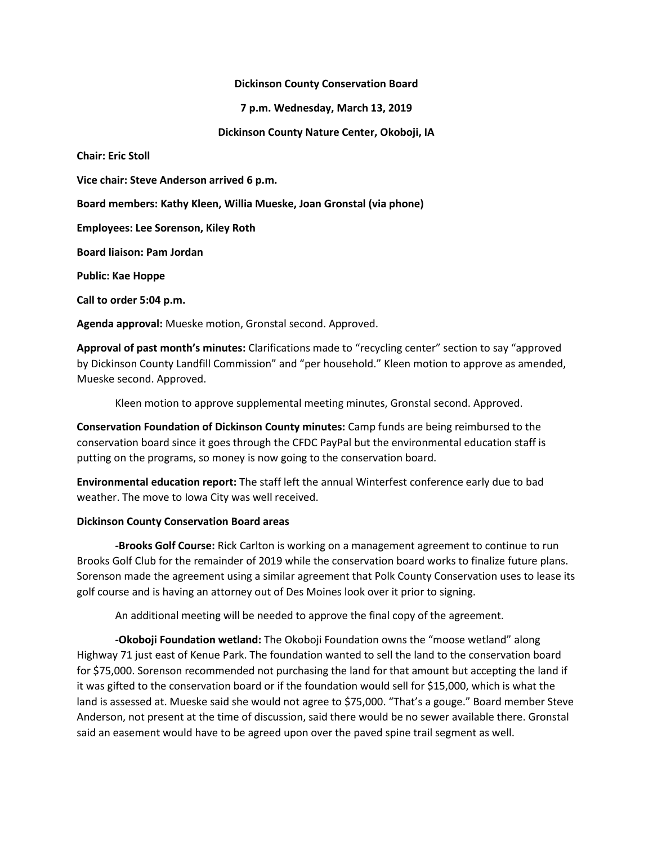#### **Dickinson County Conservation Board**

**7 p.m. Wednesday, March 13, 2019**

**Dickinson County Nature Center, Okoboji, IA**

**Chair: Eric Stoll**

**Vice chair: Steve Anderson arrived 6 p.m.**

**Board members: Kathy Kleen, Willia Mueske, Joan Gronstal (via phone)**

**Employees: Lee Sorenson, Kiley Roth**

**Board liaison: Pam Jordan**

**Public: Kae Hoppe**

**Call to order 5:04 p.m.**

**Agenda approval:** Mueske motion, Gronstal second. Approved.

**Approval of past month's minutes:** Clarifications made to "recycling center" section to say "approved by Dickinson County Landfill Commission" and "per household." Kleen motion to approve as amended, Mueske second. Approved.

Kleen motion to approve supplemental meeting minutes, Gronstal second. Approved.

**Conservation Foundation of Dickinson County minutes:** Camp funds are being reimbursed to the conservation board since it goes through the CFDC PayPal but the environmental education staff is putting on the programs, so money is now going to the conservation board.

**Environmental education report:** The staff left the annual Winterfest conference early due to bad weather. The move to Iowa City was well received.

# **Dickinson County Conservation Board areas**

**-Brooks Golf Course:** Rick Carlton is working on a management agreement to continue to run Brooks Golf Club for the remainder of 2019 while the conservation board works to finalize future plans. Sorenson made the agreement using a similar agreement that Polk County Conservation uses to lease its golf course and is having an attorney out of Des Moines look over it prior to signing.

An additional meeting will be needed to approve the final copy of the agreement.

**-Okoboji Foundation wetland:** The Okoboji Foundation owns the "moose wetland" along Highway 71 just east of Kenue Park. The foundation wanted to sell the land to the conservation board for \$75,000. Sorenson recommended not purchasing the land for that amount but accepting the land if it was gifted to the conservation board or if the foundation would sell for \$15,000, which is what the land is assessed at. Mueske said she would not agree to \$75,000. "That's a gouge." Board member Steve Anderson, not present at the time of discussion, said there would be no sewer available there. Gronstal said an easement would have to be agreed upon over the paved spine trail segment as well.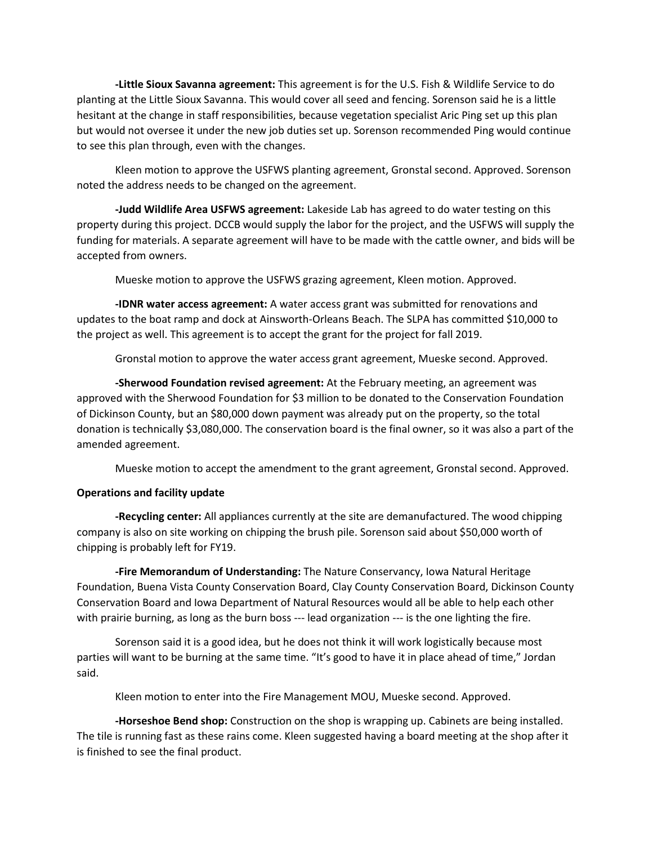**-Little Sioux Savanna agreement:** This agreement is for the U.S. Fish & Wildlife Service to do planting at the Little Sioux Savanna. This would cover all seed and fencing. Sorenson said he is a little hesitant at the change in staff responsibilities, because vegetation specialist Aric Ping set up this plan but would not oversee it under the new job duties set up. Sorenson recommended Ping would continue to see this plan through, even with the changes.

Kleen motion to approve the USFWS planting agreement, Gronstal second. Approved. Sorenson noted the address needs to be changed on the agreement.

**-Judd Wildlife Area USFWS agreement:** Lakeside Lab has agreed to do water testing on this property during this project. DCCB would supply the labor for the project, and the USFWS will supply the funding for materials. A separate agreement will have to be made with the cattle owner, and bids will be accepted from owners.

Mueske motion to approve the USFWS grazing agreement, Kleen motion. Approved.

**-IDNR water access agreement:** A water access grant was submitted for renovations and updates to the boat ramp and dock at Ainsworth-Orleans Beach. The SLPA has committed \$10,000 to the project as well. This agreement is to accept the grant for the project for fall 2019.

Gronstal motion to approve the water access grant agreement, Mueske second. Approved.

**-Sherwood Foundation revised agreement:** At the February meeting, an agreement was approved with the Sherwood Foundation for \$3 million to be donated to the Conservation Foundation of Dickinson County, but an \$80,000 down payment was already put on the property, so the total donation is technically \$3,080,000. The conservation board is the final owner, so it was also a part of the amended agreement.

Mueske motion to accept the amendment to the grant agreement, Gronstal second. Approved.

# **Operations and facility update**

**-Recycling center:** All appliances currently at the site are demanufactured. The wood chipping company is also on site working on chipping the brush pile. Sorenson said about \$50,000 worth of chipping is probably left for FY19.

**-Fire Memorandum of Understanding:** The Nature Conservancy, Iowa Natural Heritage Foundation, Buena Vista County Conservation Board, Clay County Conservation Board, Dickinson County Conservation Board and Iowa Department of Natural Resources would all be able to help each other with prairie burning, as long as the burn boss --- lead organization --- is the one lighting the fire.

Sorenson said it is a good idea, but he does not think it will work logistically because most parties will want to be burning at the same time. "It's good to have it in place ahead of time," Jordan said.

Kleen motion to enter into the Fire Management MOU, Mueske second. Approved.

**-Horseshoe Bend shop:** Construction on the shop is wrapping up. Cabinets are being installed. The tile is running fast as these rains come. Kleen suggested having a board meeting at the shop after it is finished to see the final product.